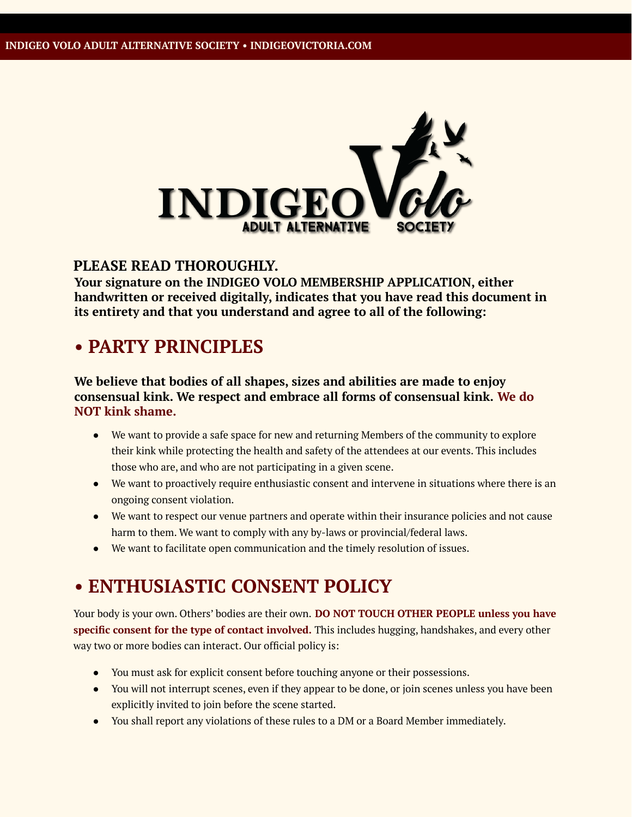

### **PLEASE READ THOROUGHLY.**

**Your signature on the INDIGEO VOLO MEMBERSHIP APPLICATION, either handwritten or received digitally, indicates that you have read this document in its entirety and that you understand and agree to all of the following:**

## **• PARTY PRINCIPLES**

#### **We believe that bodies of all shapes, sizes and abilities are made to enjoy consensual kink. We respect and embrace all forms of consensual kink. We do NOT kink shame.**

- We want to provide a safe space for new and returning Members of the community to explore their kink while protecting the health and safety of the attendees at our events. This includes those who are, and who are not participating in a given scene.
- We want to proactively require enthusiastic consent and intervene in situations where there is an ongoing consent violation.
- We want to respect our venue partners and operate within their insurance policies and not cause harm to them. We want to comply with any by-laws or provincial/federal laws.
- We want to facilitate open communication and the timely resolution of issues.

## **• ENTHUSIASTIC CONSENT POLICY**

Your body is your own. Others' bodies are their own. **DO NOT TOUCH OTHER PEOPLE unless you have specific consent for the type of contact involved.** This includes hugging, handshakes, and every other way two or more bodies can interact. Our official policy is:

- You must ask for explicit consent before touching anyone or their possessions.
- You will not interrupt scenes, even if they appear to be done, or join scenes unless you have been explicitly invited to join before the scene started.
- You shall report any violations of these rules to a DM or a Board Member immediately.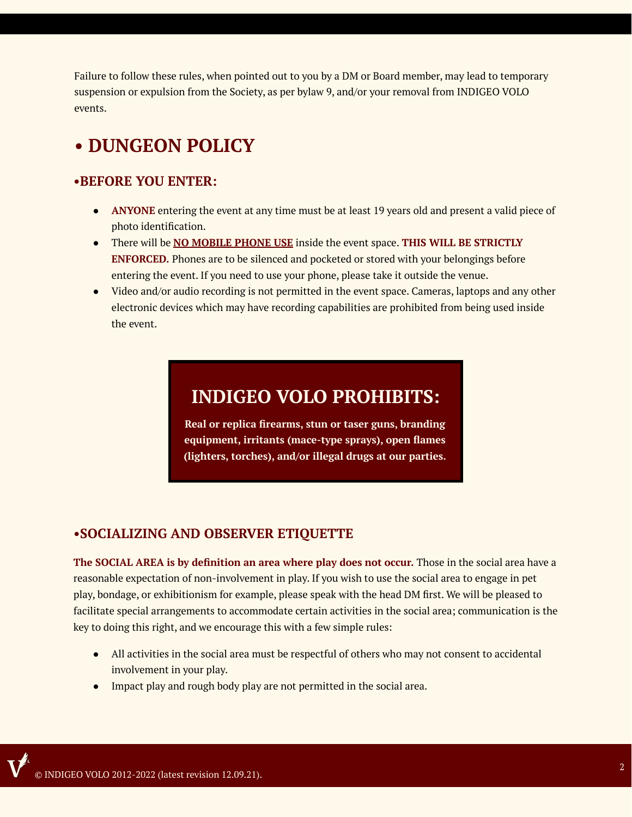Failure to follow these rules, when pointed out to you by a DM or Board member, may lead to temporary suspension or expulsion from the Society, as per bylaw 9, and/or your removal from INDIGEO VOLO events.

# **• DUNGEON POLICY**

#### **•BEFORE YOU ENTER:**

- **ANYONE** entering the event at any time must be at least 19 years old and present a valid piece of photo identification.
- There will be **NO MOBILE PHONE USE** inside the event space. **THIS WILL BE STRICTLY ENFORCED.** Phones are to be silenced and pocketed or stored with your belongings before entering the event. If you need to use your phone, please take it outside the venue.
- Video and/or audio recording is not permitted in the event space. Cameras, laptops and any other electronic devices which may have recording capabilities are prohibited from being used inside the event.

# **INDIGEO VOLO PROHIBITS:**

**Real or replica firearms, stun or taser guns, branding equipment, irritants (mace-type sprays), open flames (lighters, torches), and/or illegal drugs at our parties.**

### **•SOCIALIZING AND OBSERVER ETIQUETTE**

**The SOCIAL AREA is by definition an area where play does not occur.** Those in the social area have a reasonable expectation of non-involvement in play. If you wish to use the social area to engage in pet play, bondage, or exhibitionism for example, please speak with the head DM first. We will be pleased to facilitate special arrangements to accommodate certain activities in the social area; communication is the key to doing this right, and we encourage this with a few simple rules:

- All activities in the social area must be respectful of others who may not consent to accidental involvement in your play.
- Impact play and rough body play are not permitted in the social area.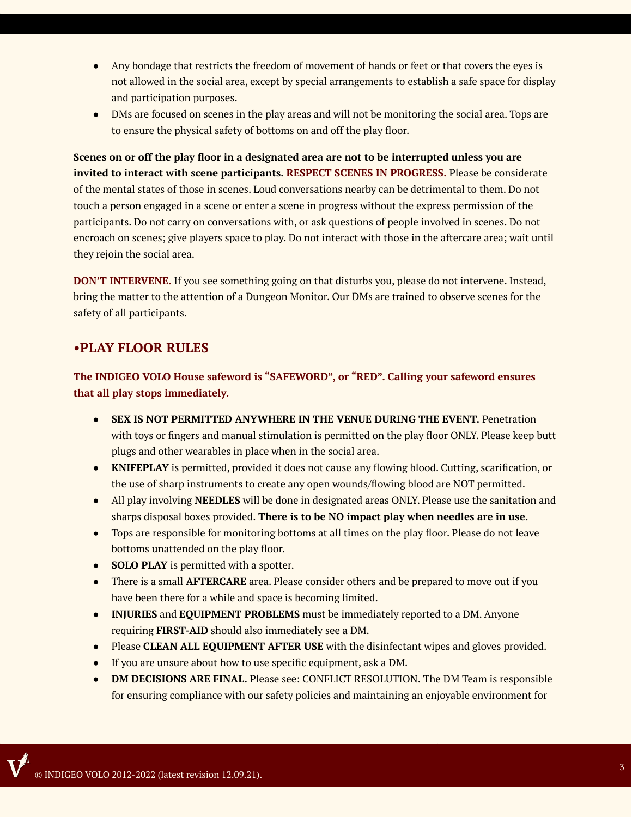- Any bondage that restricts the freedom of movement of hands or feet or that covers the eyes is not allowed in the social area, except by special arrangements to establish a safe space for display and participation purposes.
- DMs are focused on scenes in the play areas and will not be monitoring the social area. Tops are to ensure the physical safety of bottoms on and off the play floor.

Scenes on or off the play floor in a designated area are not to be interrupted unless you are **invited to interact with scene participants. RESPECT SCENES IN PROGRESS.** Please be considerate of the mental states of those in scenes. Loud conversations nearby can be detrimental to them. Do not touch a person engaged in a scene or enter a scene in progress without the express permission of the participants. Do not carry on conversations with, or ask questions of people involved in scenes. Do not encroach on scenes; give players space to play. Do not interact with those in the aftercare area; wait until they rejoin the social area.

**DON'T INTERVENE.** If you see something going on that disturbs you, please do not intervene. Instead, bring the matter to the attention of a Dungeon Monitor. Our DMs are trained to observe scenes for the safety of all participants.

### **•PLAY FLOOR RULES**

**The INDIGEO VOLO House safeword is "SAFEWORD", or "RED". Calling your safeword ensures that all play stops immediately.**

- **SEX IS NOT PERMITTED ANYWHERE IN THE VENUE DURING THE EVENT.** Penetration with toys or fingers and manual stimulation is permitted on the play floor ONLY. Please keep butt plugs and other wearables in place when in the social area.
- **KNIFEPLAY** is permitted, provided it does not cause any flowing blood. Cutting, scarification, or the use of sharp instruments to create any open wounds/flowing blood are NOT permitted.
- All play involving **NEEDLES** will be done in designated areas ONLY. Please use the sanitation and sharps disposal boxes provided. **There is to be NO impact play when needles are in use.**
- Tops are responsible for monitoring bottoms at all times on the play floor. Please do not leave bottoms unattended on the play floor.
- **SOLO PLAY** is permitted with a spotter.
- There is a small **AFTERCARE** area. Please consider others and be prepared to move out if you have been there for a while and space is becoming limited.
- **INJURIES** and **EQUIPMENT PROBLEMS** must be immediately reported to a DM. Anyone requiring **FIRST-AID** should also immediately see a DM.
- Please **CLEAN ALL EQUIPMENT AFTER USE** with the disinfectant wipes and gloves provided.
- If you are unsure about how to use specific equipment, ask a DM.
- **DM DECISIONS ARE FINAL.** Please see: CONFLICT RESOLUTION. The DM Team is responsible for ensuring compliance with our safety policies and maintaining an enjoyable environment for